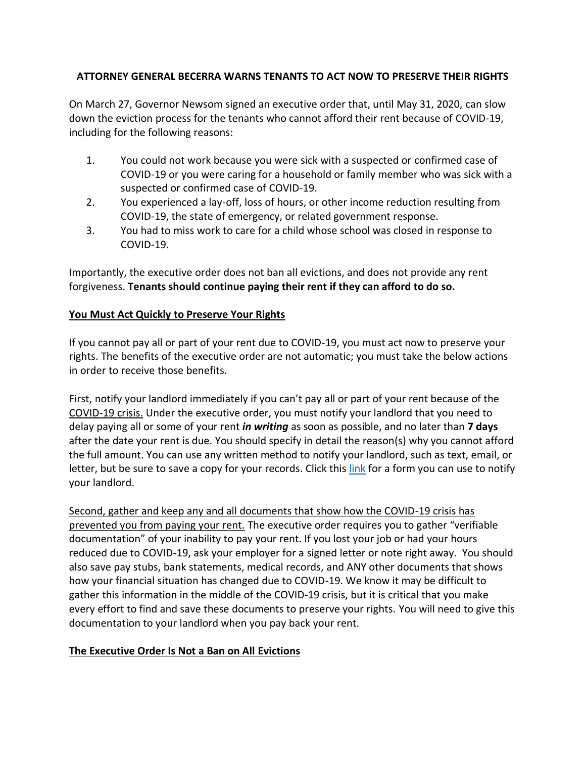# **ATTORNEY GENERAL BECERRA WARNS TENANTS TO ACT NOW TO PRESERVE THEIR RIGHTS**

On March 27, Governor Newsom signed an executive order that, until May 31, 2020, can slow down the eviction process for the tenants who cannot afford their rent because of COVID-19, including for the following reasons:

- 1. You could not work because you were sick with a suspected or confirmed case of COVID-19 or you were caring for a household or family member who was sick with a suspected or confirmed case of COVID-19.
- 2. You experienced a lay-off, loss of hours, or other income reduction resulting from COVID-19, the state of emergency, or related government response.
- 3. You had to miss work to care for a child whose school was closed in response to COVID-19.

Importantly, the executive order does not ban all evictions, and does not provide any rent forgiveness. **Tenants should continue paying their rent if they can afford to do so.**

# **You Must Act Quickly to Preserve Your Rights**

If you cannot pay all or part of your rent due to COVID-19, you must act now to preserve your rights. The benefits of the executive order are not automatic; you must take the below actions in order to receive those benefits.

First, notify your landlord immediately if you can't pay all or part of your rent because of the COVID-19 crisis. Under the executive order, you must notify your landlord that you need to delay paying all or some of your rent *in writing* as soon as possible, and no later than **7 days** after the date your rent is due. You should specify in detail the reason(s) why you cannot afford the full amount. You can use any written method to notify your landlord, such as text, email, or letter, but be sure to save a copy for your records. Click thi[s link](https://oag.ca.gov/system/files/attachments/press-docs/Tenant%20to%20Landlord%20notice%20form.pdf) for a form you can use to notify your landlord.

Second, gather and keep any and all documents that show how the COVID-19 crisis has prevented you from paying your rent. The executive order requires you to gather "verifiable documentation" of your inability to pay your rent. If you lost your job or had your hours reduced due to COVID-19, ask your employer for a signed letter or note right away. You should also save pay stubs, bank statements, medical records, and ANY other documents that shows how your financial situation has changed due to COVID-19. We know it may be difficult to gather this information in the middle of the COVID-19 crisis, but it is critical that you make every effort to find and save these documents to preserve your rights. You will need to give this documentation to your landlord when you pay back your rent.

# **The Executive Order Is Not a Ban on All Evictions**